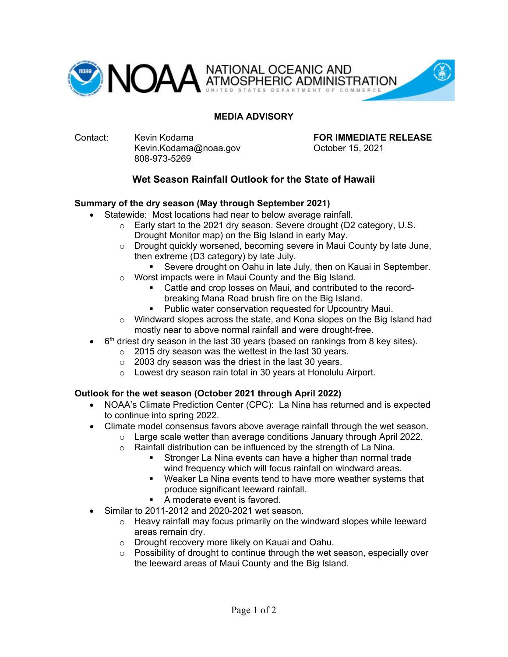

## **MEDIA ADVISORY**

Contact: Kevin Kodama **FOR IMMEDIATE RELEASE** Kevin.Kodama@noaa.gov October 15, 2021 808-973-5269

# **Wet Season Rainfall Outlook for the State of Hawaii**

### **Summary of the dry season (May through September 2021)**

- Statewide: Most locations had near to below average rainfall.
	- $\circ$  Early start to the 2021 dry season. Severe drought (D2 category, U.S. Drought Monitor map) on the Big Island in early May.
	- o Drought quickly worsened, becoming severe in Maui County by late June, then extreme (D3 category) by late July.
		- Severe drought on Oahu in late July, then on Kauai in September.
	- Worst impacts were in Maui County and the Big Island.
		- Cattle and crop losses on Maui, and contributed to the recordbreaking Mana Road brush fire on the Big Island.
		- **Public water conservation requested for Upcountry Maui.**
	- $\circ$  Windward slopes across the state, and Kona slopes on the Big Island had mostly near to above normal rainfall and were drought-free.
	- $6<sup>th</sup>$  driest dry season in the last 30 years (based on rankings from 8 key sites).
		- o 2015 dry season was the wettest in the last 30 years.
		- o 2003 dry season was the driest in the last 30 years.
		- o Lowest dry season rain total in 30 years at Honolulu Airport.

### **Outlook for the wet season (October 2021 through April 2022)**

- NOAA's Climate Prediction Center (CPC): La Nina has returned and is expected to continue into spring 2022.
- Climate model consensus favors above average rainfall through the wet season.
	- $\circ$  Large scale wetter than average conditions January through April 2022.
	- o Rainfall distribution can be influenced by the strength of La Nina.
		- Stronger La Nina events can have a higher than normal trade wind frequency which will focus rainfall on windward areas.
		- Weaker La Nina events tend to have more weather systems that produce significant leeward rainfall.
		- A moderate event is favored.
- Similar to 2011-2012 and 2020-2021 wet season.
	- o Heavy rainfall may focus primarily on the windward slopes while leeward areas remain dry.
	- o Drought recovery more likely on Kauai and Oahu.
	- $\circ$  Possibility of drought to continue through the wet season, especially over the leeward areas of Maui County and the Big Island.